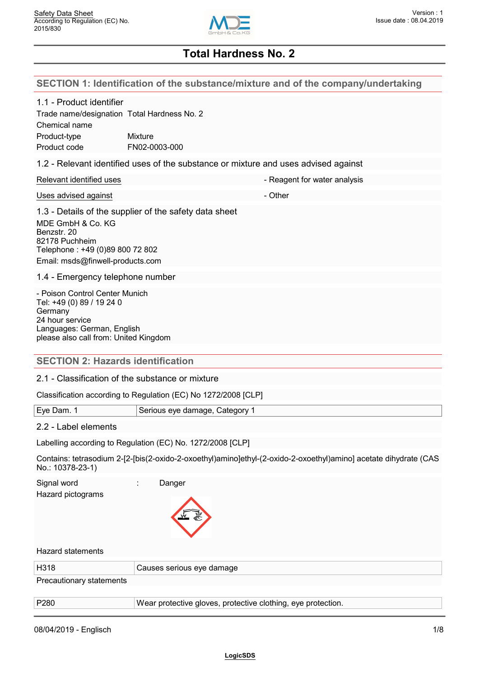

### **SECTION 1: Identification of the substance/mixture and of the company/undertaking**

| 1.1 - Product identifier |  |
|--------------------------|--|
|--------------------------|--|

| 1.1 - Product identifier                                                                                                  |                                                        |                                                                                     |  |
|---------------------------------------------------------------------------------------------------------------------------|--------------------------------------------------------|-------------------------------------------------------------------------------------|--|
| Chemical name                                                                                                             | Trade name/designation Total Hardness No. 2            |                                                                                     |  |
| Product-type<br>Product code                                                                                              | <b>Mixture</b><br>FN02-0003-000                        |                                                                                     |  |
|                                                                                                                           |                                                        | 1.2 - Relevant identified uses of the substance or mixture and uses advised against |  |
| Relevant identified uses                                                                                                  |                                                        | - Reagent for water analysis                                                        |  |
| Uses advised against                                                                                                      |                                                        | - Other                                                                             |  |
| MDE GmbH & Co. KG<br>Benzstr, 20<br>82178 Puchheim<br>Telephone: +49 (0)89 800 72 802<br>Email: msds@finwell-products.com | 1.3 - Details of the supplier of the safety data sheet |                                                                                     |  |
| 1.4 - Emergency telephone number                                                                                          |                                                        |                                                                                     |  |
| - Poison Control Center Munich<br>Tel: +49 (0) 89 / 19 24 0<br>Germany<br>24 hour service                                 |                                                        |                                                                                     |  |

#### **SECTION 2: Hazards identification**

#### 2.1 - Classification of the substance or mixture

Classification according to Regulation (EC) No 1272/2008 [CLP]

| Eye | Category<br>Serious eve damage. |
|-----|---------------------------------|
|     |                                 |

### 2.2 - Label elements

Languages: German, English

please also call from: United Kingdom

Labelling according to Regulation (EC) No. 1272/2008 [CLP]

Contains: tetrasodium 2-[2-[bis(2-oxido-2-oxoethyl)amino]ethyl-(2-oxido-2-oxoethyl)amino] acetate dihydrate (CAS No.: 10378-23-1)

| Signal word<br>Hazard pictograms | Danger                                                       |
|----------------------------------|--------------------------------------------------------------|
| <b>Hazard statements</b>         |                                                              |
| H318                             | Causes serious eye damage                                    |
| Precautionary statements         |                                                              |
|                                  |                                                              |
| P280                             | Wear protective gloves, protective clothing, eye protection. |
|                                  |                                                              |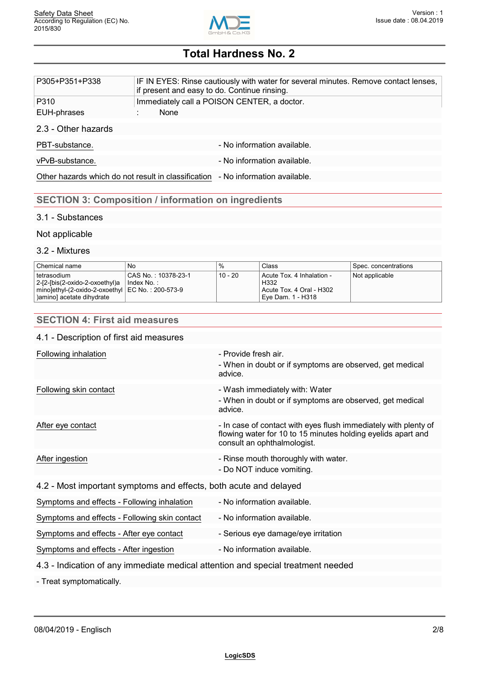

| P305+P351+P338      | IF IN EYES: Rinse cautiously with water for several minutes. Remove contact lenses,<br>if present and easy to do. Continue rinsing. |
|---------------------|-------------------------------------------------------------------------------------------------------------------------------------|
| P310                | Immediately call a POISON CENTER, a doctor.                                                                                         |
| EUH-phrases         | None                                                                                                                                |
| 2.3 - Other hazards |                                                                                                                                     |
| PBT-substance.      | - No information available.                                                                                                         |
| vPvB-substance.     | - No information available.                                                                                                         |
|                     | Other hazards which do not result in classification - No information available.                                                     |
|                     |                                                                                                                                     |

### **SECTION 3: Composition / information on ingredients**

### 3.1 - Substances

### Not applicable

### 3.2 - Mixtures

| Chemical name                                    | No                  | %         | Class                          | Spec. concentrations |
|--------------------------------------------------|---------------------|-----------|--------------------------------|----------------------|
| l tetrasodium.                                   | CAS No.: 10378-23-1 | $10 - 20$ | Acute Tox. 4 Inhalation -      | Not applicable       |
| 2-[2-[bis(2-oxido-2-oxoethyl)a   Index No.:      |                     |           | H332                           |                      |
| mino]ethyl-(2-oxido-2-oxoethyl EC No.: 200-573-9 |                     |           | Acute Tox. 4 Oral - H302       |                      |
| ) amino] acetate dihydrate                       |                     |           | <sup>1</sup> Eve Dam. 1 - H318 |                      |

### **SECTION 4: First aid measures**

### 4.1 - Description of first aid measures

| Following inhalation                                                             | - Provide fresh air.<br>- When in doubt or if symptoms are observed, get medical<br>advice.                                                                    |  |
|----------------------------------------------------------------------------------|----------------------------------------------------------------------------------------------------------------------------------------------------------------|--|
| Following skin contact                                                           | - Wash immediately with: Water<br>- When in doubt or if symptoms are observed, get medical<br>advice.                                                          |  |
| After eye contact                                                                | - In case of contact with eyes flush immediately with plenty of<br>flowing water for 10 to 15 minutes holding eyelids apart and<br>consult an ophthalmologist. |  |
| After ingestion                                                                  | - Rinse mouth thoroughly with water.<br>- Do NOT induce vomiting.                                                                                              |  |
| 4.2 - Most important symptoms and effects, both acute and delayed                |                                                                                                                                                                |  |
| Symptoms and effects - Following inhalation                                      | - No information available.                                                                                                                                    |  |
| Symptoms and effects - Following skin contact                                    | - No information available.                                                                                                                                    |  |
| Symptoms and effects - After eye contact                                         | - Serious eye damage/eye irritation                                                                                                                            |  |
| Symptoms and effects - After ingestion                                           | - No information available.                                                                                                                                    |  |
| 4.3 - Indication of any immediate medical attention and special treatment needed |                                                                                                                                                                |  |
|                                                                                  |                                                                                                                                                                |  |

- Treat symptomatically.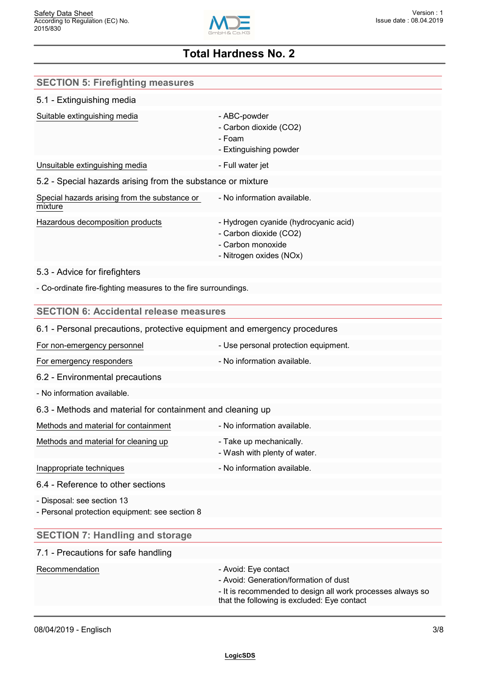

| <b>SECTION 5: Firefighting measures</b>                                      |                                                                                                                                                                            |
|------------------------------------------------------------------------------|----------------------------------------------------------------------------------------------------------------------------------------------------------------------------|
| 5.1 - Extinguishing media                                                    |                                                                                                                                                                            |
| Suitable extinguishing media                                                 | - ABC-powder<br>- Carbon dioxide (CO2)<br>- Foam<br>- Extinguishing powder                                                                                                 |
| Unsuitable extinguishing media                                               | - Full water jet                                                                                                                                                           |
| 5.2 - Special hazards arising from the substance or mixture                  |                                                                                                                                                                            |
| Special hazards arising from the substance or<br>mixture                     | - No information available.                                                                                                                                                |
| Hazardous decomposition products                                             | - Hydrogen cyanide (hydrocyanic acid)<br>- Carbon dioxide (CO2)<br>- Carbon monoxide<br>- Nitrogen oxides (NOx)                                                            |
| 5.3 - Advice for firefighters                                                |                                                                                                                                                                            |
| - Co-ordinate fire-fighting measures to the fire surroundings.               |                                                                                                                                                                            |
| <b>SECTION 6: Accidental release measures</b>                                |                                                                                                                                                                            |
| 6.1 - Personal precautions, protective equipment and emergency procedures    |                                                                                                                                                                            |
| For non-emergency personnel                                                  | - Use personal protection equipment.                                                                                                                                       |
| For emergency responders                                                     | - No information available.                                                                                                                                                |
| 6.2 - Environmental precautions                                              |                                                                                                                                                                            |
| - No information available.                                                  |                                                                                                                                                                            |
| 6.3 - Methods and material for containment and cleaning up                   |                                                                                                                                                                            |
| Methods and material for containment                                         | - No information available.                                                                                                                                                |
| Methods and material for cleaning up                                         | - Take up mechanically.<br>- Wash with plenty of water.                                                                                                                    |
| Inappropriate techniques                                                     | - No information available.                                                                                                                                                |
| 6.4 - Reference to other sections                                            |                                                                                                                                                                            |
| - Disposal: see section 13<br>- Personal protection equipment: see section 8 |                                                                                                                                                                            |
| <b>SECTION 7: Handling and storage</b>                                       |                                                                                                                                                                            |
| 7.1 - Precautions for safe handling                                          |                                                                                                                                                                            |
| Recommendation                                                               | - Avoid: Eye contact<br>- Avoid: Generation/formation of dust<br>- It is recommended to design all work processes always so<br>that the following is excluded: Eye contact |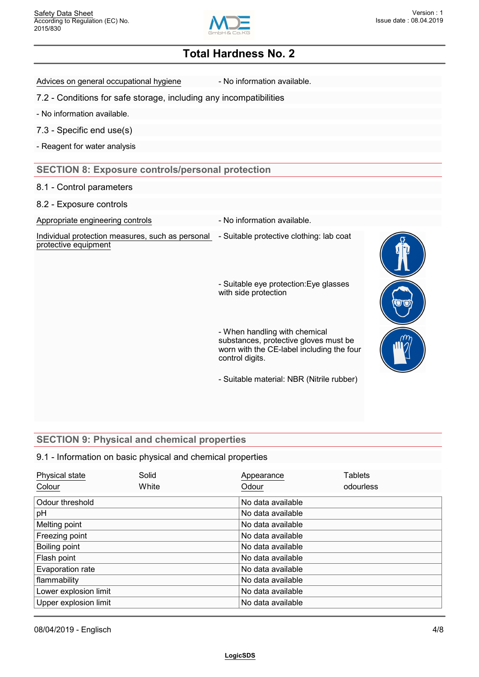

Advices on general occupational hygiene - No information available.

7.2 - Conditions for safe storage, including any incompatibilities

- No information available.

7.3 - Specific end use(s)

- Reagent for water analysis

### **SECTION 8: Exposure controls/personal protection**

#### 8.1 - Control parameters

8.2 - Exposure controls

Appropriate engineering controls **Auditor** - No information available.

Individual protection measures, such as personal - Suitable protective clothing: lab coat protective equipment

- Suitable eye protection:Eye glasses with side protection

- When handling with chemical substances, protective gloves must be worn with the CE-label including the four control digits.

- Suitable material: NBR (Nitrile rubber)

### **SECTION 9: Physical and chemical properties**

### 9.1 - Information on basic physical and chemical properties

| Physical state        | Solid | Appearance        | Tablets   |  |
|-----------------------|-------|-------------------|-----------|--|
| Colour                | White | Odour             | odourless |  |
| Odour threshold       |       | No data available |           |  |
| pH                    |       | No data available |           |  |
| Melting point         |       | No data available |           |  |
| Freezing point        |       | No data available |           |  |
| Boiling point         |       | No data available |           |  |
| Flash point           |       | No data available |           |  |
| Evaporation rate      |       | No data available |           |  |
| flammability          |       | No data available |           |  |
| Lower explosion limit |       | No data available |           |  |
| Upper explosion limit |       | No data available |           |  |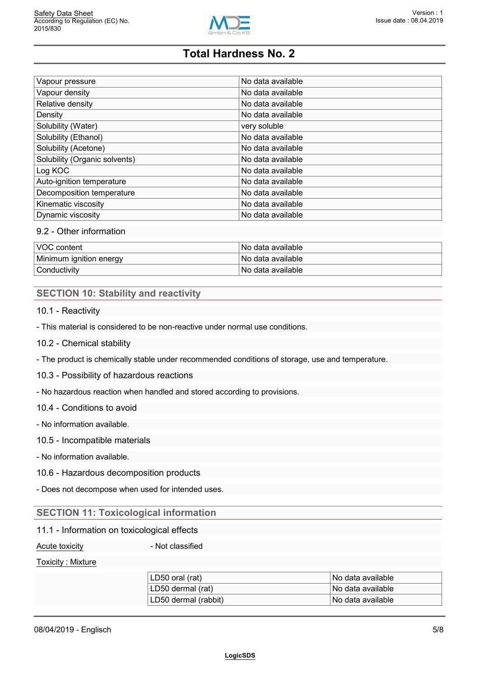

| Vapour pressure               | No data available |  |
|-------------------------------|-------------------|--|
| Vapour density                | No data available |  |
| Relative density              | No data available |  |
| Density                       | No data available |  |
| Solubility (Water)            | very soluble      |  |
| Solubility (Ethanol)          | No data available |  |
| Solubility (Acetone)          | No data available |  |
| Solubility (Organic solvents) | No data available |  |
| Log KOC                       | No data available |  |
| Auto-ignition temperature     | No data available |  |
| Decomposition temperature     | No data available |  |
| Kinematic viscosity           | No data available |  |
| Dynamic viscosity             | No data available |  |

### 9.2 - Other information

| <b>VOC content</b>      | l No data available.  |
|-------------------------|-----------------------|
| Minimum ignition energy | l No data available.  |
| Conductivity            | l No data available l |

### **SECTION 10: Stability and reactivity**

10.1 - Reactivity

- This material is considered to be non-reactive under normal use conditions.

- 10.2 Chemical stability
- The product is chemically stable under recommended conditions of storage, use and temperature.
- 10.3 Possibility of hazardous reactions

- No hazardous reaction when handled and stored according to provisions.

10.4 - Conditions to avoid

- No information available.
- 10.5 Incompatible materials
- No information available.
- 10.6 Hazardous decomposition products
- Does not decompose when used for intended uses.

### **SECTION 11: Toxicological information**

#### 11.1 - Information on toxicological effects

Acute toxicity **Acute is a set of the Acute toxicity** and  $\overline{a}$  - Not classified

#### Toxicity : Mixture

| LD50 oral (rat)      | No data available |
|----------------------|-------------------|
| LD50 dermal (rat)    | No data available |
| LD50 dermal (rabbit) | No data available |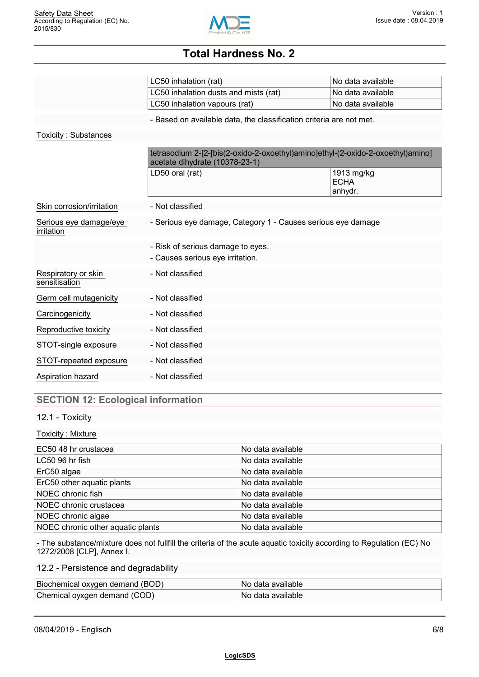

|                                      | LC50 inhalation (rat)                                                                                             | No data available                    |
|--------------------------------------|-------------------------------------------------------------------------------------------------------------------|--------------------------------------|
|                                      | LC50 inhalation dusts and mists (rat)                                                                             | No data available                    |
|                                      | LC50 inhalation vapours (rat)                                                                                     | No data available                    |
|                                      | - Based on available data, the classification criteria are not met.                                               |                                      |
| <b>Toxicity: Substances</b>          |                                                                                                                   |                                      |
|                                      | tetrasodium 2-[2-[bis(2-oxido-2-oxoethyl)amino]ethyl-(2-oxido-2-oxoethyl)amino]<br>acetate dihydrate (10378-23-1) |                                      |
|                                      | LD50 oral (rat)                                                                                                   | 1913 mg/kg<br><b>ECHA</b><br>anhydr. |
| Skin corrosion/irritation            | - Not classified                                                                                                  |                                      |
| Serious eye damage/eye<br>irritation | - Serious eye damage, Category 1 - Causes serious eye damage                                                      |                                      |
|                                      | - Risk of serious damage to eyes.<br>- Causes serious eye irritation.                                             |                                      |
| Respiratory or skin<br>sensitisation | - Not classified                                                                                                  |                                      |
| Germ cell mutagenicity               | - Not classified                                                                                                  |                                      |
| Carcinogenicity                      | - Not classified                                                                                                  |                                      |
| Reproductive toxicity                | - Not classified                                                                                                  |                                      |
| STOT-single exposure                 | - Not classified                                                                                                  |                                      |
| STOT-repeated exposure               | - Not classified                                                                                                  |                                      |
| Aspiration hazard                    | - Not classified                                                                                                  |                                      |
|                                      |                                                                                                                   |                                      |

### **SECTION 12: Ecological information**

### 12.1 - Toxicity

#### Toxicity : Mixture

| EC50 48 hr crustacea              | No data available |
|-----------------------------------|-------------------|
| LC50 96 hr fish                   | No data available |
| ErC50 algae                       | No data available |
| ErC50 other aquatic plants        | No data available |
| NOEC chronic fish                 | No data available |
| NOEC chronic crustacea            | No data available |
| NOEC chronic algae                | No data available |
| NOEC chronic other aquatic plants | No data available |

- The substance/mixture does not fullfill the criteria of the acute aquatic toxicity according to Regulation (EC) No 1272/2008 [CLP], Annex I.

### 12.2 - Persistence and degradability

| Biochemical oxygen demand (BOD) | No data available |
|---------------------------------|-------------------|
| Chemical oyxgen demand (COD)    | No data available |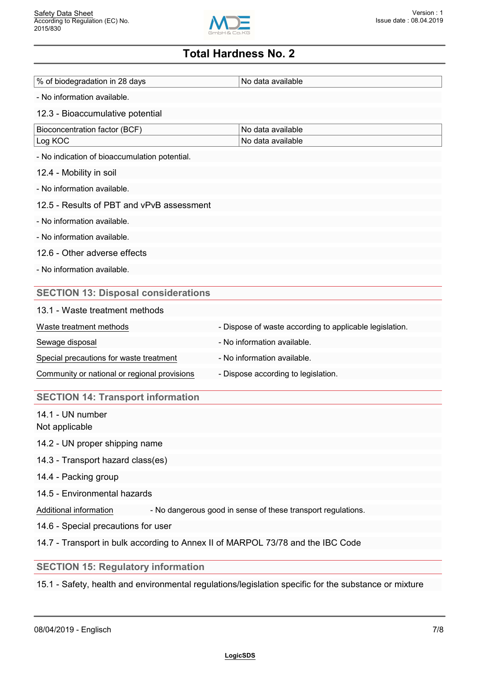

| % of biodegradation in 28 days                                                  | No data available                                            |
|---------------------------------------------------------------------------------|--------------------------------------------------------------|
| - No information available.                                                     |                                                              |
| 12.3 - Bioaccumulative potential                                                |                                                              |
| Bioconcentration factor (BCF)                                                   | No data available                                            |
| Log KOC                                                                         | No data available                                            |
| - No indication of bioaccumulation potential.                                   |                                                              |
| 12.4 - Mobility in soil                                                         |                                                              |
| - No information available.                                                     |                                                              |
| 12.5 - Results of PBT and vPvB assessment                                       |                                                              |
| - No information available.                                                     |                                                              |
| - No information available.                                                     |                                                              |
| 12.6 - Other adverse effects                                                    |                                                              |
| - No information available.                                                     |                                                              |
| <b>SECTION 13: Disposal considerations</b>                                      |                                                              |
| 13.1 - Waste treatment methods                                                  |                                                              |
| Waste treatment methods                                                         | - Dispose of waste according to applicable legislation.      |
| Sewage disposal                                                                 | - No information available.                                  |
| Special precautions for waste treatment                                         | - No information available.                                  |
| Community or national or regional provisions                                    | - Dispose according to legislation.                          |
| <b>SECTION 14: Transport information</b>                                        |                                                              |
| 14.1 - UN number<br>Not applicable                                              |                                                              |
| 14.2 - UN proper shipping name                                                  |                                                              |
| 14.3 - Transport hazard class(es)                                               |                                                              |
| 14.4 - Packing group                                                            |                                                              |
| 14.5 - Environmental hazards                                                    |                                                              |
| Additional information                                                          | - No dangerous good in sense of these transport regulations. |
| 14.6 - Special precautions for user                                             |                                                              |
| 14.7 - Transport in bulk according to Annex II of MARPOL 73/78 and the IBC Code |                                                              |
| <b>SECTION 15: Regulatory information</b>                                       |                                                              |
|                                                                                 |                                                              |

15.1 - Safety, health and environmental regulations/legislation specific for the substance or mixture